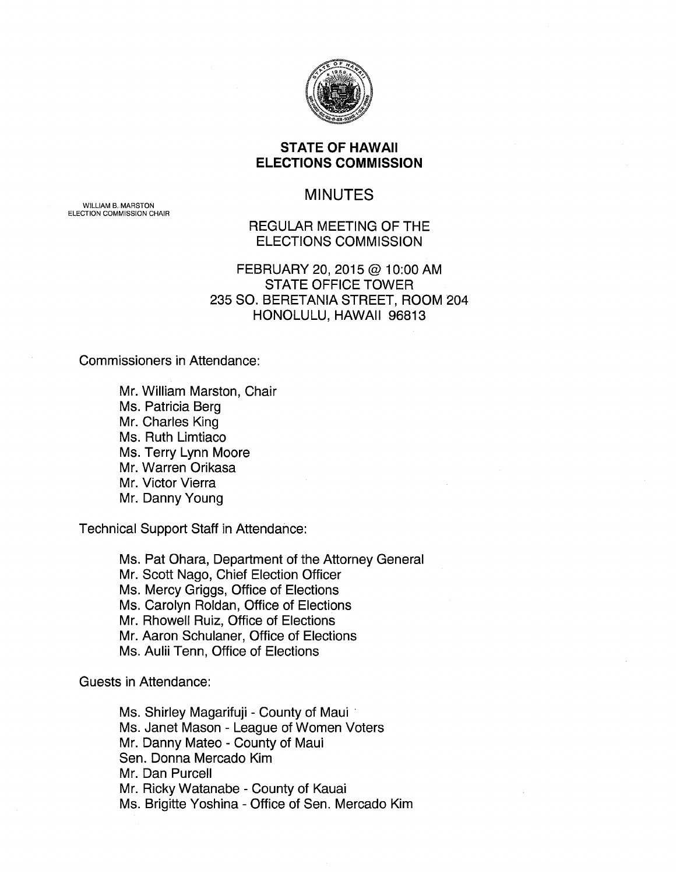

# **STATE OF HAWAII ELECTIONS COMMISSION**

# MINUTES

WILLIAM B. MARSTON ELECTION COMMISSION CHAIR

### REGULAR MEETING OF THE ELECTIONS COMMISSION

# FEBRUARY 20, 2015 @ 1 0:00 AM STATE OFFICE TOWER 235 SO. BERETANIA STREET, ROOM 204 HONOLULU, HAWAII 96813

Commissioners in Attendance:

Mr. William Marston, Chair Ms. Patricia Berg Mr. Charles King Ms. Ruth Limtiaco Ms. Terry Lynn Moore Mr. Warren Orikasa Mr. Victor Vierra Mr. Danny Young

Technical Support Staff in Attendance:

Ms. Pat Ohara, Department of the Attorney General Mr. Scott Nago, Chief Election Officer Ms. Mercy Griggs, Office of Elections Ms. Carolyn Roldan, Office of Elections Mr. Rhowell Ruiz, Office of Elections Mr. Aaron Schulaner, Office of Elections Ms. Aulii Tenn, Office of Elections

Guests in Attendance:

Ms. Shirley Magarifuji - County of Maui · Ms. Janet Mason - League of Women Voters Mr. Danny Mateo- County of Maui Sen. Donna Mercado Kim Mr. Dan Purcell Mr. Ricky Watanabe- County of Kauai Ms. Brigitte Yoshina- Office of Sen. Mercado Kim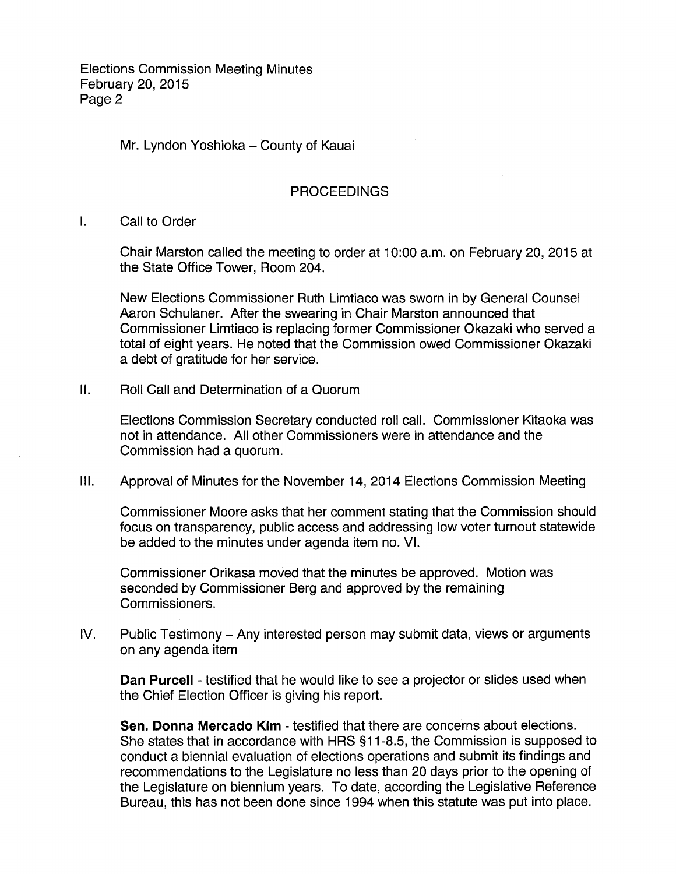Mr. Lyndon Yoshioka - County of Kauai

#### PROCEEDINGS

I. Call to Order

Chair Marston called the meeting to order at 10:00 a.m. on February 20, 2015 at the State Office Tower, Room 204.

New Elections Commissioner Ruth Limtiaco was sworn in by General Counsel Aaron Schulaner. After the swearing in Chair Marston announced that Commissioner Limtiaco is replacing former Commissioner Okazaki who served a total of eight years. He noted that the Commission owed Commissioner Okazaki a debt of gratitude for her service.

II. Roll Call and Determination of a Quorum

Elections Commission Secretary conducted roll call. Commissioner Kitaoka was not in attendance. All other Commissioners were in attendance and the Commission had a quorum.

Ill. Approval of Minutes for the November 14, 2014 Elections Commission Meeting

Commissioner Moore asks that her comment stating that the Commission should focus on transparency, public access and addressing low voter turnout statewide be added to the minutes under agenda item no. VI.

Commissioner Orikasa moved that the minutes be approved. Motion was seconded by Commissioner Berg and approved by the remaining Commissioners.

IV. Public Testimony- Any interested person may submit data, views or arguments on any agenda item

**Dan Purcell** - testified that he would like to see a projector or slides used when the Chief Election Officer is giving his report.

**Sen. Donna Mercado Kim** - testified that there are concerns about elections. She states that in accordance with HRS §11-8.5, the Commission is supposed to conduct a biennial evaluation of elections operations and submit its findings and recommendations to the Legislature no less than 20 days prior to the opening of the Legislature on biennium years. To date, according the Legislative Reference Bureau, this has not been done since 1994 when this statute was put into place.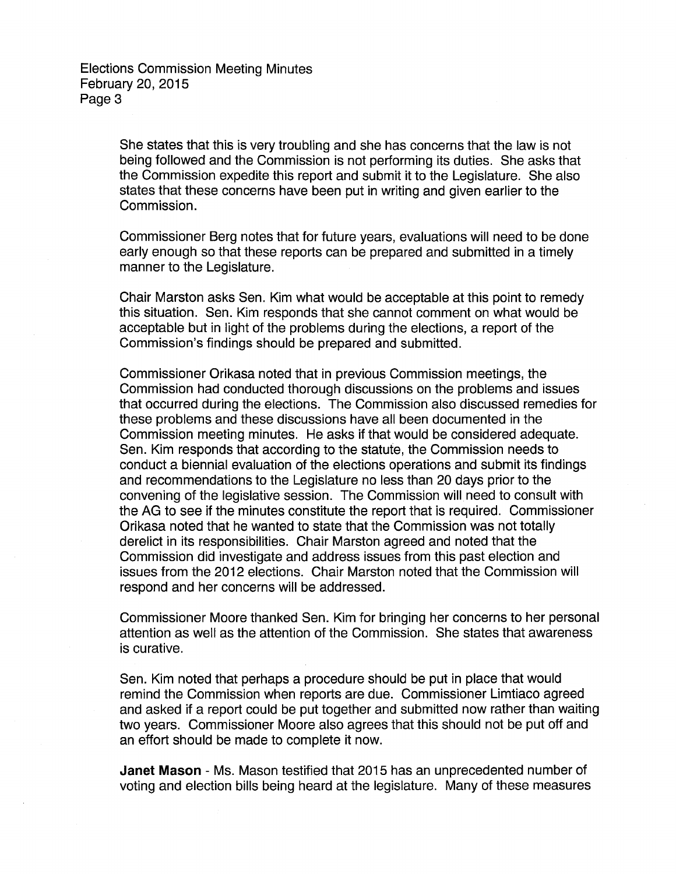She states that this is very troubling and she has concerns that the law is not being followed and the Commission is not performing its duties. She asks that the Commission expedite this report and submit it to the Legislature. She also states that these concerns have been put in writing and given earlier to the Commission.

Commissioner Berg notes that for future years, evaluations will need to be done early enough so that these reports can be prepared and submitted in a timely manner to the Legislature.

Chair Marston asks Sen. Kim what would be acceptable at this point to remedy this situation. Sen. Kim responds that she cannot comment on what would be acceptable but in light of the problems during the elections, a report of the Commission's findings should be prepared and submitted.

Commissioner Orikasa noted that in previous Commission meetings, the Commission had conducted thorough discussions on the problems and issues that occurred during the elections. The Commission also discussed remedies for these problems and these discussions have all been documented in the Commission meeting minutes. He asks if that would be considered adequate. Sen. Kim responds that according to the statute, the Commission needs to conduct a biennial evaluation of the elections operations and submit its findings and recommendations to the Legislature no less than 20 days prior to the convening of the legislative session. The Commission will need to consult with the AG to see if the minutes constitute the report that is required. Commissioner Orikasa noted that he wanted to state that the Commission was not totally derelict in its responsibilities. Chair Marston agreed and noted that the Commission did investigate and address issues from this past election and issues from the 2012 elections. Chair Marston noted that the Commission will respond and her concerns will be addressed.

Commissioner Moore thanked Sen. Kim for bringing her concerns to her personal attention as well as the attention of the Commission. She states that awareness is curative.

Sen. Kim noted that perhaps a procedure should be put in place that would remind the Commission when reports are due. Commissioner Limtiaco agreed and asked if a report could be put together and submitted now rather than waiting two years. Commissioner Moore also agrees that this should not be put off and an effort should be made to complete it now.

**Janet Mason** - Ms. Mason testified that 2015 has an unprecedented number of voting and election bills being heard at the legislature. Many of these measures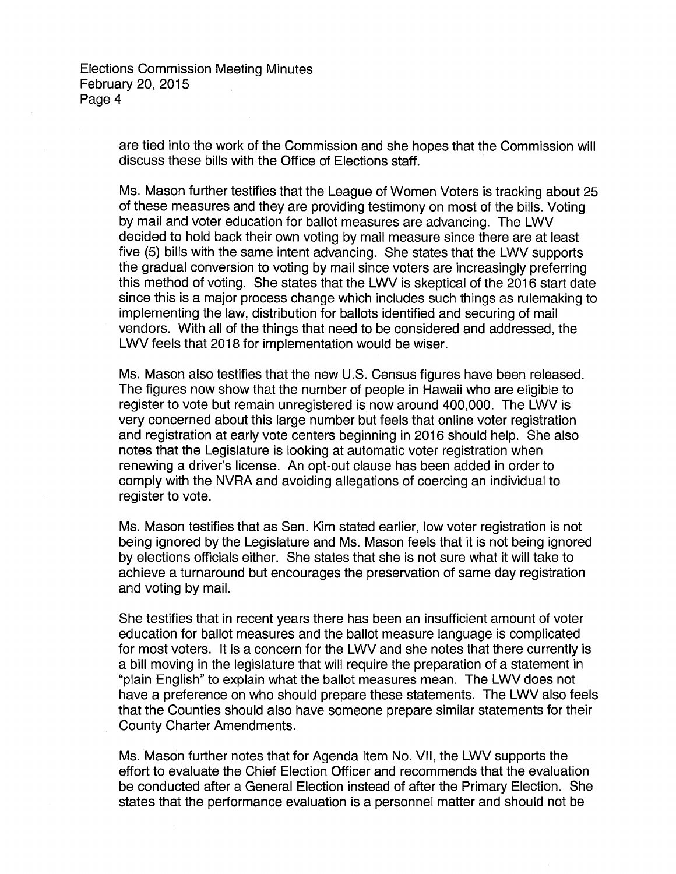> are tied into the work of the Commission and she hopes that the Commission will discuss these bills with the Office of Elections staff.

> Ms. Mason further testifies that the League of Women Voters is tracking about 25 of these measures and they are providing testimony on most of the bills. Voting by mail and voter education for ballot measures are advancing. The LWV decided to hold back their own voting by mail measure since there are at least five (5) bills with the same intent advancing. She states that the LWV supports the gradual conversion to voting by mail since voters are increasingly preferring this method of voting. She states that the LWV is skeptical of the 2016 start date since this is a major process change which includes such things as rulemaking to implementing the law, distribution for ballots identified and securing of mail vendors. With all of the things that need to be considered and addressed, the LWV feels that 2018 for implementation would be wiser.

Ms. Mason also testifies that the new U.S. Census figures have been released. The figures now show that the number of people in Hawaii who are eligible to register to vote but remain unregistered is now around 400,000. The LWV is very concerned about this large number but feels that online voter registration and registration at early vote centers beginning in 2016 should help. She also notes that the Legislature is looking at automatic voter registration when renewing a driver's license. An opt-out clause has been added in order to comply with the NVRA and avoiding allegations of coercing an individual to register to vote.

Ms. Mason testifies that as Sen. Kim stated earlier, low voter registration is not being ignored by the Legislature and Ms. Mason feels that it is not being ignored by elections officials either. She states that she is not sure what it will take to achieve a turnaround but encourages the preservation of same day registration and voting by mail.

She testifies that in recent years there has been an insufficient amount of voter education for ballot measures and the ballot measure language is complicated for most voters. It is a concern for the LWV and she notes that there currently is a bill moving in the legislature that will require the preparation of a statement in "plain English" to explain what the ballot measures mean. The LWV does not have a preference on who should prepare these statements. The LWV also feels that the Counties should also have someone prepare similar statements for their County Charter Amendments.

Ms. Mason further notes that for Agenda Item No. VII, the LWV supports the effort to evaluate the Chief Election Officer and recommends that the evaluation be conducted after a General Election instead of after the Primary Election. She states that the performance evaluation is a personnel matter and should not be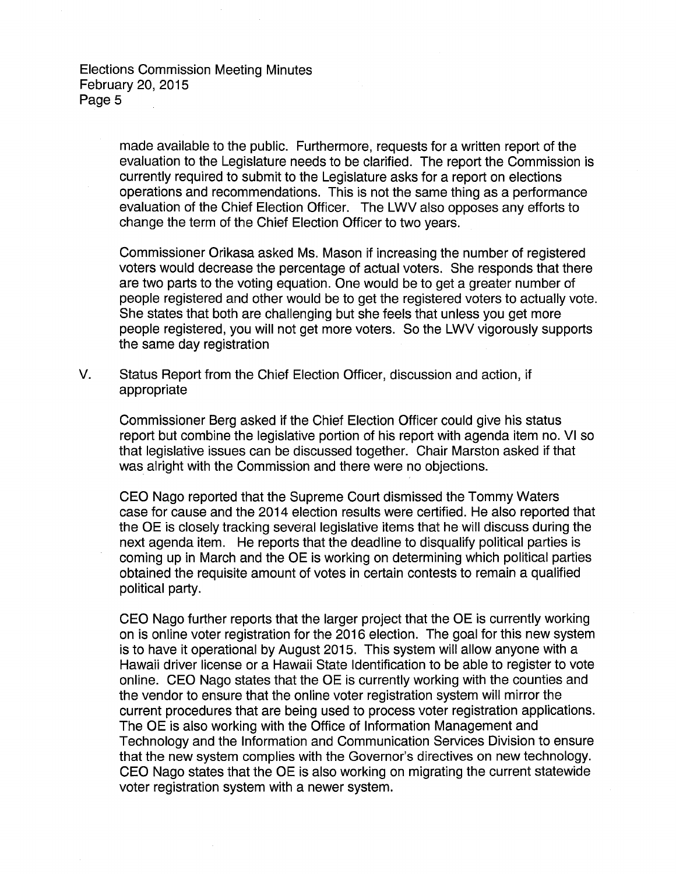> made available to the public. Furthermore, requests for a written report of the evaluation to the Legislature needs to be clarified. The report the Commission is currently required to submit to the Legislature asks for a report on elections operations and recommendations. This is not the same thing as a performance evaluation of the Chief Election Officer. The LWV also opposes any efforts to change the term of the Chief Election Officer to two years.

> Commissioner Orikasa asked Ms. Mason if increasing the number of registered voters would decrease the percentage of actual voters. She responds that there are two parts to the voting equation. One would be to get a greater number of people registered and other would be to get the registered voters to actually vote. She states that both are challenging but she feels that unless you get more people registered, you will not get more voters. So the LWV vigorously supports the same day registration

V. Status Report from the Chief Election Officer, discussion and action, if appropriate

Commissioner Berg asked if the Chief Election Officer could give his status report but combine the legislative portion of his report with agenda item no. VI so that legislative issues can be discussed together. Chair Marston asked if that was alright with the Commission and there were no objections.

CEO Nago reported that the Supreme Court dismissed the Tommy Waters case for cause and the 2014 election results were certified. He also reported that the OE is closely tracking several legislative items that he will discuss during the next agenda item. He reports that the deadline to disqualify political parties is coming up in March and the OE is working on determining which political parties obtained the requisite amount of votes in certain contests to remain a qualified political party.

CEO Nago further reports that the larger project that the OE is currently working on is online voter registration for the 2016 election. The goal for this new system is to have it operational by August 2015. This system will allow anyone with a Hawaii driver license or a Hawaii State Identification to be able to register to vote online. CEO Nago states that the OE is currently working with the counties and the vendor to ensure that the online voter registration system will mirror the current procedures that are being used to process voter registration applications. The OE is also working with the Office of Information Management and Technology and the Information and Communication Services Division to ensure that the new system complies with the Governor's directives on new technology. CEO Nago states that the OE is also working on migrating the current statewide voter registration system with a newer system.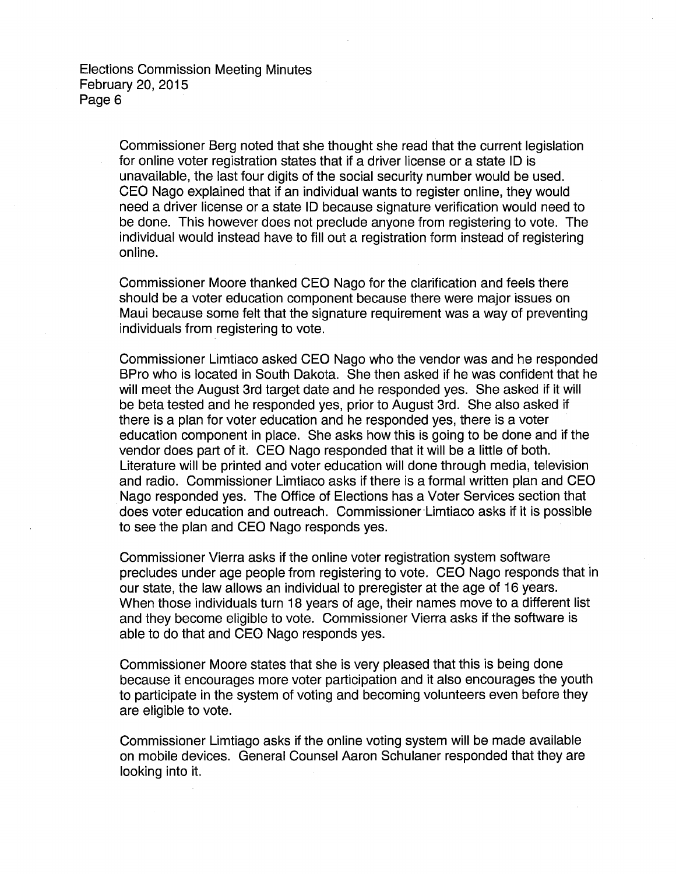Commissioner Berg noted that she thought she read that the current legislation for online voter registration states that if a driver license or a state ID is unavailable, the last four digits of the social security number would be used. CEO Nago explained that if an individual wants to register online, they would need a driver license or a state ID because signature verification would need to be done. This however does not preclude anyone from registering to vote. The individual would instead have to fill out a registration form instead of registering online.

Commissioner Moore thanked CEO Nago for the clarification and feels there should be a voter education component because there were major issues on Maui because some felt that the signature requirement was a way of preventing individuals from registering to vote.

Commissioner Limtiaco asked CEO Nago who the vendor was and he responded BPro who is located in South Dakota. She then asked if he was confident that he will meet the August 3rd target date and he responded yes. She asked if it will be beta tested and he responded yes, prior to August 3rd. She also asked if there is a plan for voter education and he responded yes, there is a voter education component in place. She asks how this is going to be done and if the vendor does part of it. CEO Nago responded that it will be a little of both. Literature will be printed and voter education will done through media, television and radio. Commissioner Limtiaco asks if there is a formal written plan and CEO Nago responded yes. The Office of Elections has a Voter Services section that does voter education and outreach. Commissioner·Limtiaco asks if it is possible to see the plan and CEO Nago responds yes.

Commissioner Vierra asks if the online voter registration system software precludes under age people from registering to vote. CEO Nago responds that in our state, the law allows an individual to preregister at the age of 16 years. When those individuals turn 18 years of age, their names move to a different list and they become eligible to vote. Commissioner Vierra asks if the software is able to do that and CEO Nago responds yes.

Commissioner Moore states that she is very pleased that this is being done because it encourages more voter participation and it also encourages the youth to participate in the system of voting and becoming volunteers even before they are eligible to vote.

Commissioner Limtiago asks if the online voting system will be made available on mobile devices. General Counsel Aaron Schulaner responded that they are looking into it.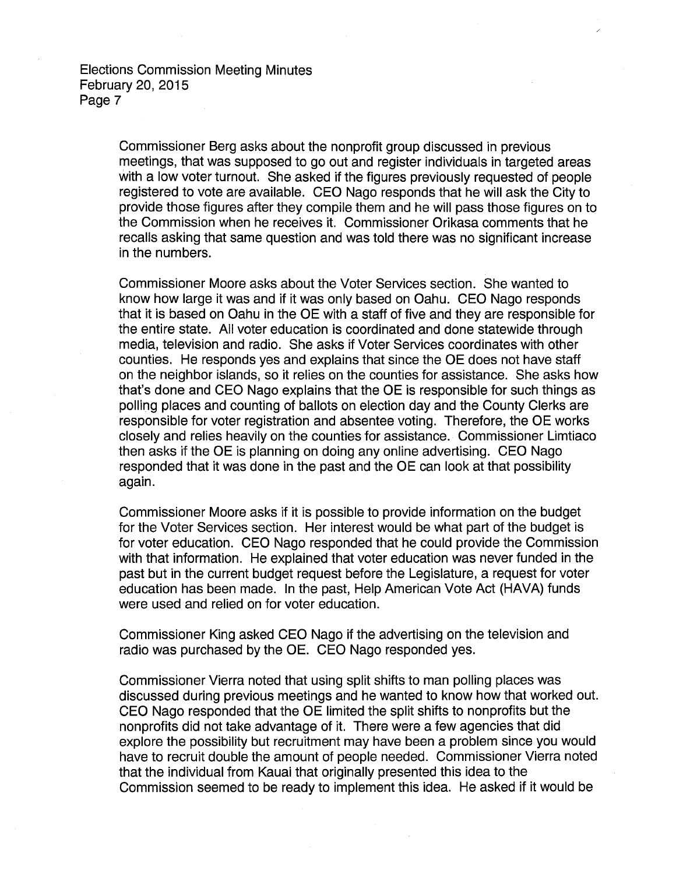> Commissioner Berg asks about the nonprofit group discussed in previous meetings, that was supposed to go out and register individuals in targeted areas with a low voter turnout. She asked if the figures previously requested of people registered to vote are available. CEO Nago responds that he will ask the City to provide those figures after they compile them and he will pass those figures on to the Commission when he receives it. Commissioner Orikasa comments that he recalls asking that same question and was told there was no significant increase in the numbers.

> Commissioner Moore asks about the Voter Services section. She wanted to know how large it was and if it was only based on Oahu. CEO Nago responds that it is based on Oahu in the OE with a staff of five and they are responsible for the entire state. All voter education is coordinated and done statewide through media, television and radio. She asks if Voter Services coordinates with other counties. He responds yes and explains that since the OE does not have staff on the neighbor islands, so it relies on the counties for assistance. She asks how that's done and CEO Nago explains that the OE is responsible for such things as polling places and counting of ballots on election day and the County Clerks are responsible for voter registration and absentee voting. Therefore, the OE works closely and relies heavily on the counties for assistance. Commissioner Limtiaco then asks if the OE is planning on doing any online advertising. CEO Nago responded that it was done in the past and the OE can look at that possibility again.

> Commissioner Moore asks if it is possible to provide information on the budget for the Voter Services section. Her interest would be what part of the budget is for voter education. CEO Nago responded that he could provide the Commission with that information. He explained that voter education was never funded in the past but in the current budget request before the Legislature, a request for voter education has been made. In the past, Help American Vote Act (HAVA) funds were used and relied on for voter education.

Commissioner King asked CEO Nago if the advertising on the television and radio was purchased by the OE. CEO Nago responded yes.

Commissioner Vierra noted that using split shifts to man polling places was discussed during previous meetings and he wanted to know how that worked out. CEO Nago responded that the OE limited the split shifts to nonprofits but the nonprofits did not take advantage of it. There were a few agencies that did explore the possibility but recruitment may have been a problem since you would have to recruit double the amount of people needed. Commissioner Vierra noted that the individual from Kauai that originally presented this idea to the Commission seemed to be ready to implement this idea. He asked if it would be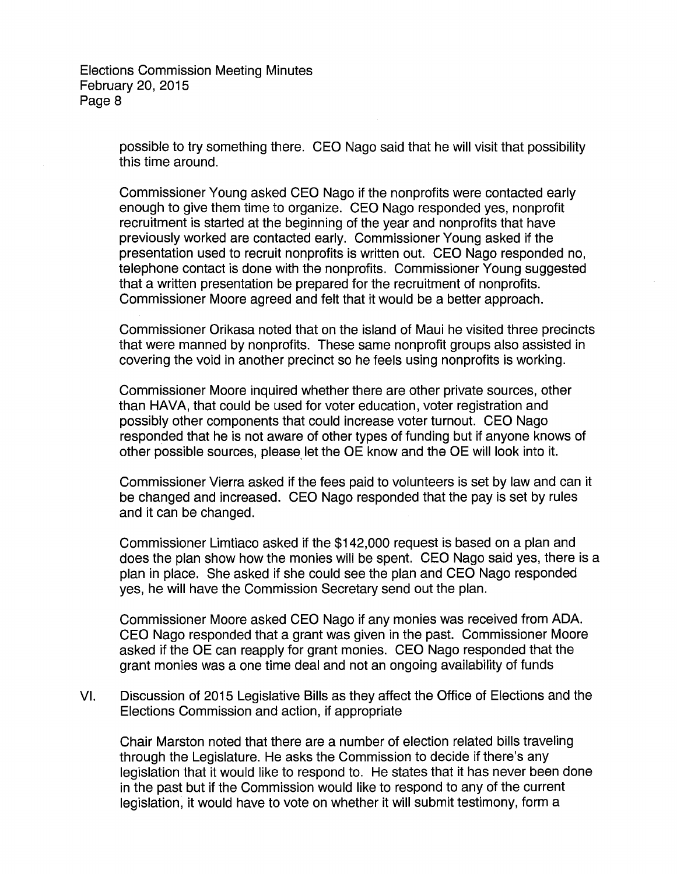> possible to try something there. CEO Nago said that he will visit that possibility this time around.

> Commissioner Young asked CEO Nago if the nonprofits were contacted early enough to give them time to organize. CEO Nago responded yes, nonprofit recruitment is started at the beginning of the year and nonprofits that have previously worked are contacted early. Commissioner Young asked if the presentation used to recruit nonprofits is written out. CEO Nago responded no, telephone contact is done with the nonprofits. Commissioner Young suggested that a written presentation be prepared for the recruitment of nonprofits. Commissioner Moore agreed and felt that it would be a better approach.

Commissioner Orikasa noted that on the island of Maui he visited three precincts that were manned by nonprofits. These same nonprofit groups also assisted in covering the void in another precinct so he feels using nonprofits is working.

Commissioner Moore inquired whether there are other private sources, other than HAVA, that could be used for voter education, voter registration and possibly other components that could increase voter turnout. CEO Nago responded that he is not aware of other types of funding but if anyone knows of other possible sources, please let the OE know and the OE will look into it.

Commissioner Vierra asked if the fees paid to volunteers is set by law and can it be changed and increased. CEO Nago responded that the pay is set by rules and it can be changed.

Commissioner Limtiaco asked if the \$142,000 request is based on a plan and does the plan show how the monies will be spent. CEO Nago said yes, there is a plan in place. She asked if she could see the plan and CEO Nago responded yes, he will have the Commission Secretary send out the plan.

Commissioner Moore asked CEO Nago if any monies was received from ADA. CEO Nago responded that a grant was given in the past. Commissioner Moore asked if the OE can reapply for grant monies. CEO Nago responded that the grant monies was a one time deal and not an ongoing availability of funds

VI. Discussion of 2015 Legislative Bills as they affect the Office of Elections and the Elections Commission and action, if appropriate

Chair Marston noted that there are a number of election related bills traveling through the Legislature. He asks the Commission to decide if there's any legislation that it would like to respond to. He states that it has never been done in the past but if the Commission would like to respond to any of the current legislation, it would have to vote on whether it will submit testimony, form a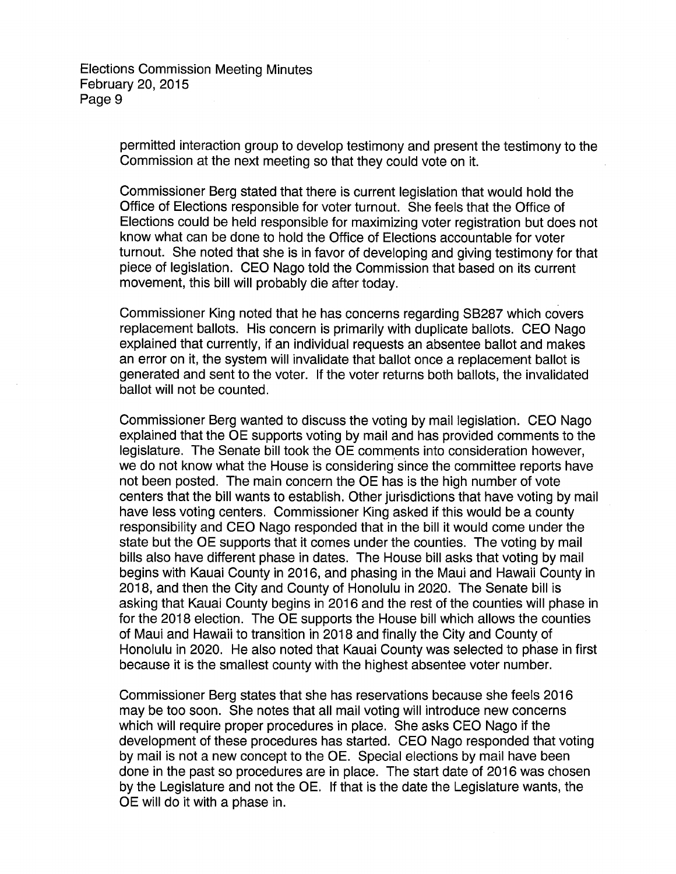> permitted interaction group to develop testimony and present the testimony to the Commission at the next meeting so that they could vote on it.

> Commissioner Berg stated that there is current legislation that would hold the Office of Elections responsible for voter turnout. She feels that the Office of Elections could be held responsible for maximizing voter registration but does not know what can be done to hold the Office of Elections accountable for voter turnout. She noted that she is in favor of developing and giving testimony for that piece of legislation. CEO Nago told the Commission that based on its current movement, this bill will probably die after today.

Commissioner King noted that he has concerns regarding SB287 which covers replacement ballots. His concern is primarily with duplicate ballots. CEO Nago explained that currently, if an individual requests an absentee ballot and makes an error on it, the system will invalidate that ballot once a replacement ballot is generated and sent to the voter. If the voter returns both ballots, the invalidated ballot will not be counted.

Commissioner Berg wanted to discuss the voting by mail legislation. CEO Nago explained that the OE supports voting by mail and has provided comments to the legislature. The Senate bill took the OE comments into consideration however, we do not know what the House is considering since the committee reports have not been posted. The main concern the OE has is the high number of vote centers that the bill wants to establish. Other jurisdictions that have voting by mail have less voting centers. Commissioner King asked if this would be a county responsibility and CEO Nago responded that in the bill it would come under the state but the OE supports that it comes under the counties. The voting by mail bills also have different phase in dates. The House bill asks that voting by mail begins with Kauai County in 2016, and phasing in the Maui and Hawaii County in 2018, and then the City and County of Honolulu in 2020. The Senate bill is asking that Kauai County begins in 2016 and the rest of the counties will phase in for the 2018 election. The OE supports the House bill which allows the counties of Maui and Hawaii to transition in 2018 and finally the City and County, of Honolulu in 2020. He also noted that Kauai County was selected to phase in first because it is the smallest county with the highest absentee voter number.

Commissioner Berg states that she has reservations because she feels 2016 may be too soon. She notes that all mail voting will introduce new concerns which will require proper procedures in place. She asks CEO Nago if the development of these procedures has started. CEO Nago responded that voting by mail is not a new concept to the OE. Special elections by mail have been done in the past so procedures are in place. The start date of 2016 was chosen by the Legislature and not the OE. If that is the date the Legislature wants, the OE will do it with a phase in.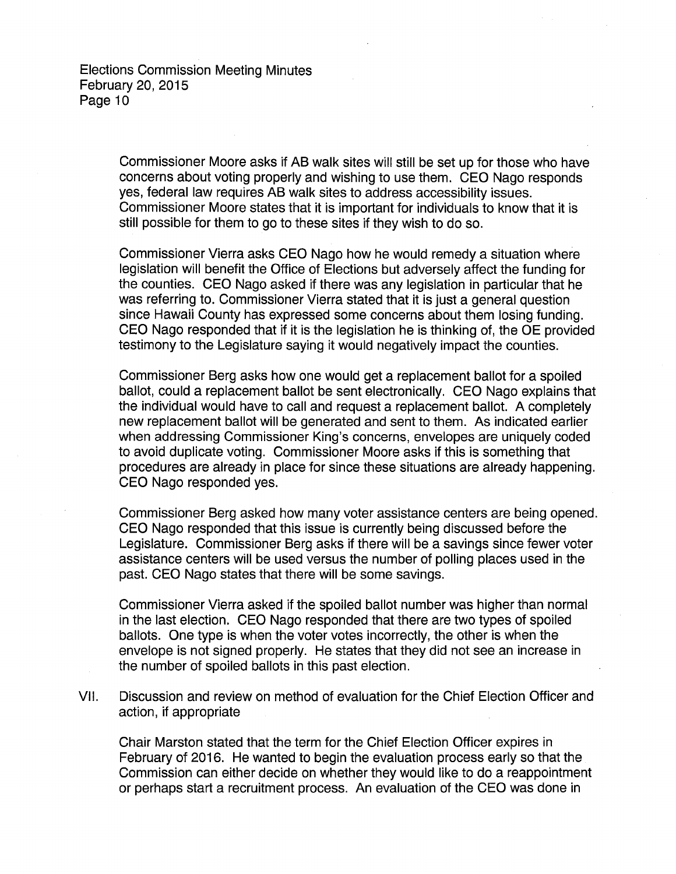Commissioner Moore asks if AB walk sites will still be set up for those who have concerns about voting properly and wishing to use them. CEO Nago responds yes, federal law requires AB walk sites to address accessibility issues. Commissioner Moore states that it is important for individuals to know that it is still possible for them to go to these sites if they wish to do so.

Commissioner Vierra asks CEO Nago how he would remedy a situation where legislation will benefit the Office of Elections but adversely affect the funding for the counties. CEO Nago asked if there was any legislation in particular that he was referring to. Commissioner Vierra stated that it is just a general question since Hawaii County has expressed some concerns about them losing funding. CEO Nago responded that if it is the legislation he is thinking of, the OE provided testimony to the Legislature saying it would negatively impact the counties.

Commissioner Berg asks how one would get a replacement ballot for a spoiled ballot, could a replacement ballot be sent electronically. CEO Nago explains that the individual would have to call and request a replacement ballot. A completely new replacement ballot will be generated and sent to them. As indicated earlier when addressing Commissioner King's concerns, envelopes are uniquely coded to avoid duplicate voting. Commissioner Moore asks if this is something that procedures are already in place for since these situations are already happening. CEO Nago responded yes.

Commissioner Berg asked how many voter assistance centers are being opened. CEO Nago responded that this issue is currently being discussed before the Legislature. Commissioner Berg asks if there will be a savings since fewer voter assistance centers will be used versus the number of polling places used in the past. CEO Nago states that there will be some savings.

Commissioner Vierra asked if the spoiled ballot number was higher than normal in the last election. CEO Nago responded that there are two types of spoiled ballots. One type is when the voter votes incorrectly, the other is when the envelope is not signed properly. He states that they did not see an increase in the number of spoiled ballots in this past election.

VII. Discussion and review on method of evaluation for the Chief Election Officer and action, if appropriate

Chair Marston stated that the term for the Chief Election Officer expires in February of 2016. He wanted to begin the evaluation process early so that the Commission can either decide on whether they would like to do a reappointment or perhaps start a recruitment process. An evaluation of the CEO was done in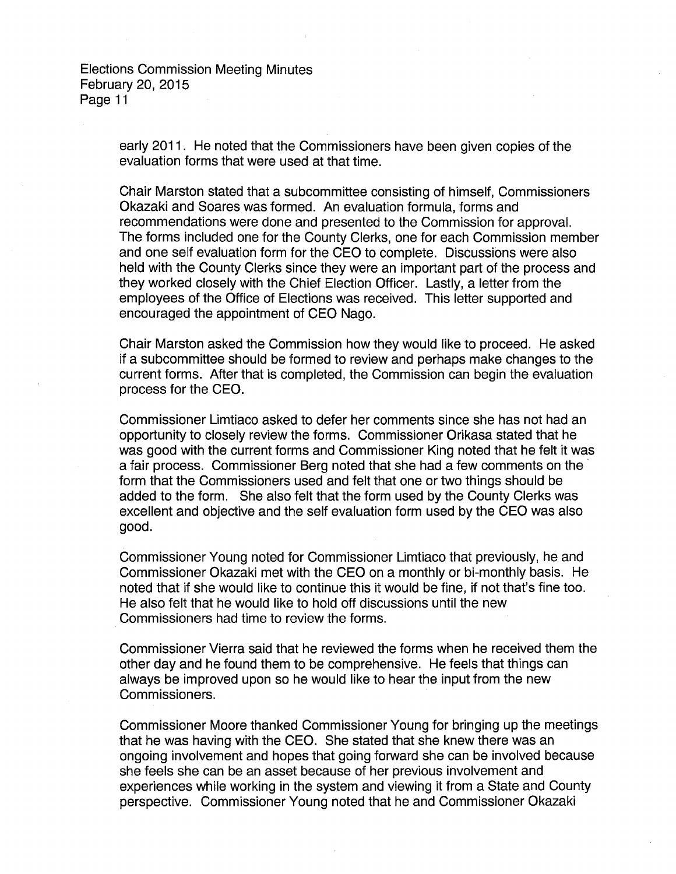> early 2011. He noted that the Commissioners have been given copies of the evaluation forms that were used at that time.

Chair Marston stated that a subcommittee consisting of himself, Commissioners Okazaki and Soares was formed. An evaluation formula, forms and recommendations were done and presented to the Commission for approval. The forms included one for the County Clerks, one for each Commission member and one self evaluation form for the CEO to complete. Discussions were also held with the County Clerks since they were an important part of the process and they worked closely with the Chief Election Officer. Lastly, a letter from the employees of the Office of Elections was received. This letter supported and encouraged the appointment of CEO Nago.

Chair Marston asked the Commission how they would like to proceed. He asked if a subcommittee should be formed to review and perhaps make changes to the current forms. After that is completed, the Commission can begin the evaluation process for the CEO.

Commissioner Limtiaco asked to defer her comments since she has not had an opportunity to closely review the forms. Commissioner Orikasa stated that he was good with the current forms and Commissioner King noted that he felt it was a fair process. Commissioner Berg noted that she had a few comments on the form that the Commissioners used and felt that one or two things should be added to the form. She also felt that the form used by the County Clerks was excellent and objective and the self evaluation form used by the CEO was also good.

Commissioner Young noted for Commissioner Limtiaco that previously, he and Commissioner Okazaki met with the CEO on a monthly or bi-monthly basis. He noted that if she would like to continue this it would be fine, if not that's fine too. He also felt that he would like to hold off discussions until the new Commissioners had time to review the forms.

Commissioner Vierra said that he reviewed the forms when he received them the other day and he found them to be comprehensive. He feels that things can always be improved upon so he would like to hear the input from the new Commissioners.

Commissioner Moore thanked Commissioner Young for bringing up the meetings that he was having with the CEO. She stated that she knew there was an ongoing involvement and hopes that going forward she can be involved because she feels she can be an asset because of her previous involvement and experiences while working in the system and viewing it from a State and County perspective. Commissioner Young noted that he and Commissioner Okazaki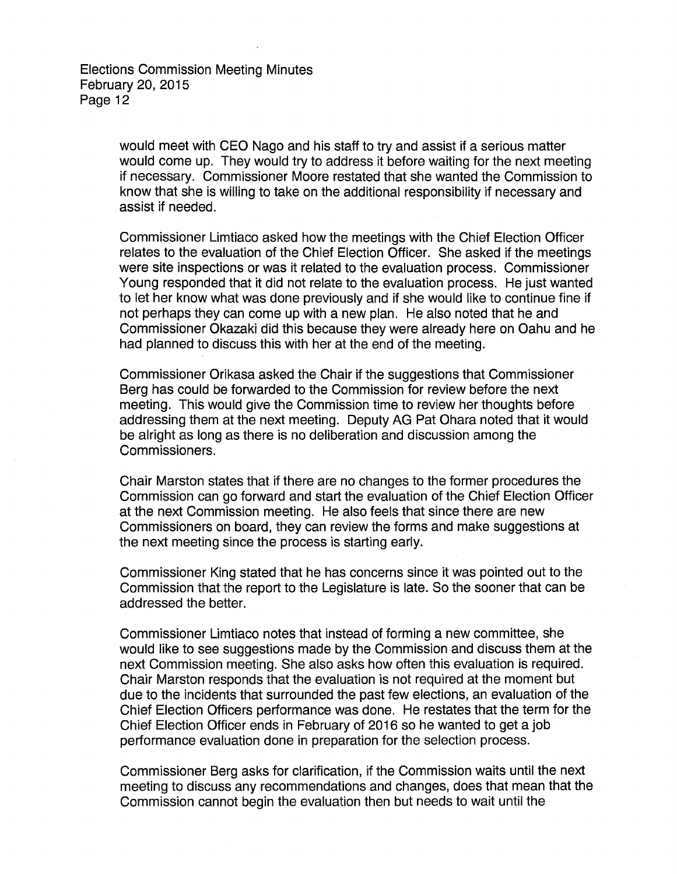> would meet with CEO Nago and his staff to try and assist if a serious matter would come up. They would try to address it before waiting for the next meeting if necessary. Commissioner Moore restated that she wanted the Commission to know that she is willing to take on the additional responsibility if necessary and assist if needed.

> Commissioner Limtiaco asked how the meetings with the Chief Election Officer relates to the evaluation of the Chief Election Officer. She asked if the meetings were site inspections or was it related to the evaluation process. Commissioner Young responded that it did not relate to the evaluation process. He just wanted to let her know what was done previously and if she would like to continue fine if not perhaps they can come up with a new plan. He also noted that he and Commissioner Okazaki did this because they were already here on Oahu and he had planned to discuss this with her at the end of the meeting.

Commissioner Orikasa asked the Chair if the suggestions that Commissioner Berg has could be forwarded to the Commission for review before the next meeting. This would give the Commission time to review her thoughts before addressing them at the next meeting. Deputy AG Pat Ohara noted that it would be alright as long as there is no deliberation and discussion among the Commissioners.

Chair Marston states that if there are no changes to the former procedures the Commission can go forward and start the evaluation of the Chief Election Officer at the next Commission meeting. He also feels that since there are new Commissioners on board, they can review the forms and make suggestions at the next meeting since the process is starting early.

Commissioner King stated that he has concerns since it was pointed out to the Commission that the report to the Legislature is late. So the sooner that can be addressed the better.

Commissioner Limtiaco notes that instead of forming a new committee, she would like to see suggestions made by the Commission and discuss them at the next Commission meeting. She also asks how often this evaluation is required. Chair Marston responds that the evaluation is not required at the moment but due to the incidents that surrounded the past few elections, an evaluation of the Chief Election Officers performance was done. He restates that the term for the Chief Election Officer ends in February of 2016 so he wanted to get a job performance evaluation done in preparation for the selection process.

Commissioner Berg asks for clarification, if the Commission waits until the next meeting to discuss any recommendations and changes, does that mean that the Commission cannot begin the evaluation then but needs to wait until the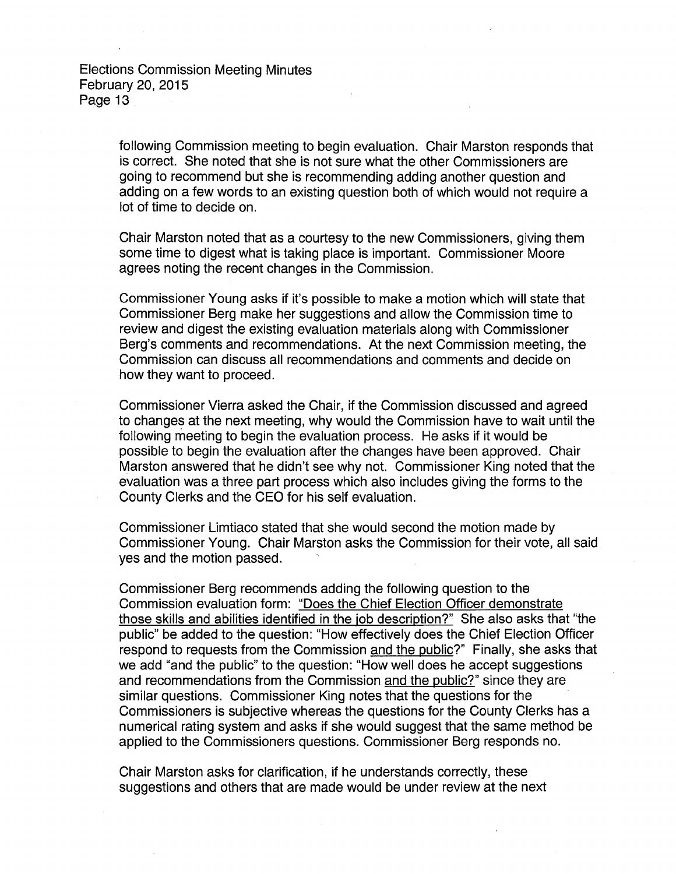> following Commission meeting to begin evaluation. Chair Marston responds that is correct. She noted that she is not sure what the other Commissioners are going to recommend but she is recommending adding another question and adding on a few words to an existing question both of which would not require a lot of time to decide on.

Chair Marston noted that as a courtesy to the new Commissioners, giving them some time to digest what is taking place is important. Commissioner Moore agrees noting the recent changes in the Commission.

Commissioner Young asks if it's possible to make a motion which will state that Commissioner Berg make her suggestions and allow the Commission time to review and digest the existing evaluation materials along with Commissioner Berg's comments and recommendations. At the next Commission meeting, the Commission can discuss all recommendations and comments and decide on how they want to proceed.

Commissioner Vierra asked the Chair, if the Commission discussed and agreed to changes at the next meeting, why would the Commission have to wait until the following meeting to begin the evaluation process. He asks if it would be possible to begin the evaluation after the changes have been approved. Chair Marston answered that he didn't see why not. Commissioner King noted that the evaluation was a three part process which also includes giving the forms to the County Clerks and the CEO for his self evaluation.

Commissioner Limtiaco stated that she would second the motion made by Commissioner Young. Chair Marston asks the Commission for their vote, all said yes and the motion passed.

Commissioner Berg recommends adding the following question to the Commission evaluation form: "Does the Chief Election Officer demonstrate those skills and abilities identified in the job description?" She also asks that "the public" be added to the question: "How effectively does the Chief Election Officer respond to requests from the Commission and the public?" Finally, she asks that we add "and the public" to the question: "How well does he accept suggestions and recommendations from the Commission and the public?" since they are similar questions. Commissioner King notes that the questions for the Commissioners is subjective whereas the questions for the County Clerks has a numerical rating system and asks if she would suggest that the same method be applied to the Commissioners questions. Commissioner Berg responds no.

Chair Marston asks for clarification, if he understands correctly, these suggestions and others that are made would be under review at the next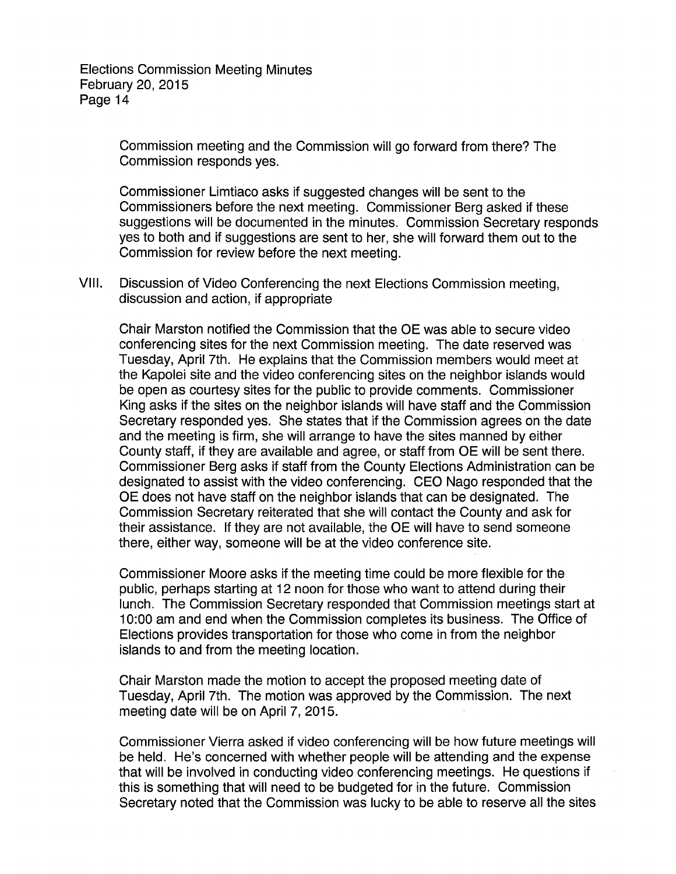> Commission meeting and the Commission will go forward from there? The Commission responds yes.

Commissioner Limtiaco asks if suggested changes will be sent to the Commissioners before the next meeting. Commissioner Berg asked if these suggestions will be documented in the minutes. Commission Secretary responds yes to both and if suggestions are sent to her, she will forward them out to the Commission for review before the next meeting.

VIII. Discussion of Video Conferencing the next Elections Commission meeting, discussion and action, if appropriate

Chair Marston notified the Commission that the OE was able to secure video conferencing sites for the next Commission meeting. The date reserved was Tuesday, April 7th. He explains that the Commission members would meet at the Kapolei site and the video conferencing sites on the neighbor islands would be open as courtesy sites for the public to provide comments. Commissioner King asks if the sites on the neighbor islands will have staff and the Commission Secretary responded yes. She states that if the Commission agrees on the date and the meeting is firm, she will arrange to have the sites manned by either County staff, if they are available and agree, or staff from OE will be sent there. Commissioner Berg asks if staff from the County Elections Administration can be designated to assist with the video conferencing. CEO Nago responded that the OE does not have staff on the neighbor islands that can be designated. The Commission Secretary reiterated that she will contact the County and ask for their assistance. If they are not available, the OE will have to send someone there, either way, someone will be at the video conference site.

Commissioner Moore asks if the meeting time could be more flexible for the public, perhaps starting at 12 noon for those who want to attend during their lunch. The Commission Secretary responded that Commission meetings start at 1 0:00 am and end when the Commission completes its business. The Office of Elections provides transportation for those who come in from the neighbor islands to and from the meeting location.

Chair Marston made the motion to accept the proposed meeting date of Tuesday, April 7th. The motion was approved by the Commission. The next meeting date will be on April 7, 2015.

Commissioner Vierra asked if video conferencing will be how future meetings will be held. He's concerned with whether people will be attending and the expense that will be involved in conducting video conferencing meetings. He questions if this is something that will need to be budgeted for in the future. Commission Secretary noted that the Commission was lucky to be able to reserve all the sites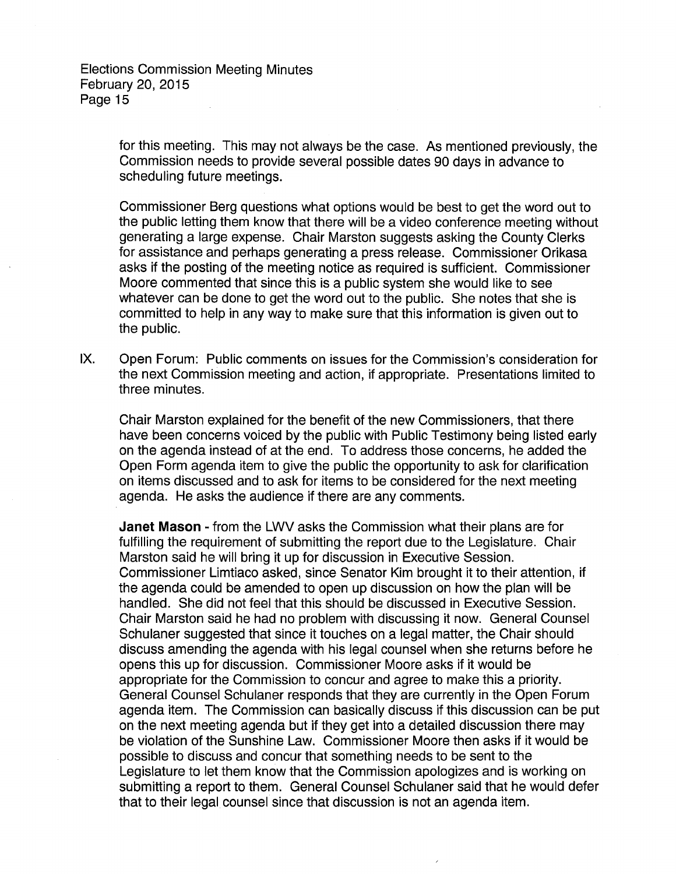> for this meeting. This may not always be the case. As mentioned previously, the Commission needs to provide several possible dates 90 days in advance to scheduling future meetings.

> Commissioner Berg questions what options would be best to get the word out to the public letting them know that there will be a video conference meeting without generating a large expense. Chair Marston suggests asking the County Clerks for assistance and perhaps generating a press release. Commissioner Orikasa asks if the posting of the meeting notice as required is sufficient. Commissioner Moore commented that since this is a public system she would like to see whatever can be done to get the word out to the public. She notes that she is committed to help in any way to make sure that this information is given out to the public.

IX. Open Forum: Public comments on issues for the Commission's consideration for the next Commission meeting and action, if appropriate. Presentations limited to three minutes.

Chair Marston explained for the benefit of the new Commissioners, that there have been concerns voiced by the public with Public Testimony being listed early on the agenda instead of at the end. To address those concerns, he added the Open Form agenda item to give the public the opportunity to ask for clarification on items discussed and to ask for items to be considered for the next meeting agenda. He asks the audience if there are any comments.

**Janet Mason** - from the LWV asks the Commission what their plans are for fulfilling the requirement of submitting the report due to the Legislature. Chair Marston said he will bring it up for discussion in Executive Session. Commissioner Limtiaco asked, since Senator Kim brought it to their attention, if the agenda could be amended to open up discussion on how the plan will be handled. She did not feel that this should be discussed in Executive Session. Chair Marston said he had no problem with discussing it now. General Counsel Schulaner suggested that since it touches on a legal matter, the Chair should discuss amending the agenda with his legal counsel when she returns before he opens this up for discussion. Commissioner Moore asks if it would be appropriate for the Commission to concur and agree to make this a priority. General Counsel Schulaner responds that they are currently in the Open Forum agenda item. The Commission can basically discuss if this discussion can be put on the next meeting agenda but if they get into a detailed discussion there may be violation of the Sunshine Law. Commissioner Moore then asks if it would be possible to discuss and concur that something needs to be sent to the Legislature to let them know that the Commission apologizes and is working on submitting a report to them. General Counsel Schulaner said that he would defer that to their legal counsel since that discussion is not an agenda item.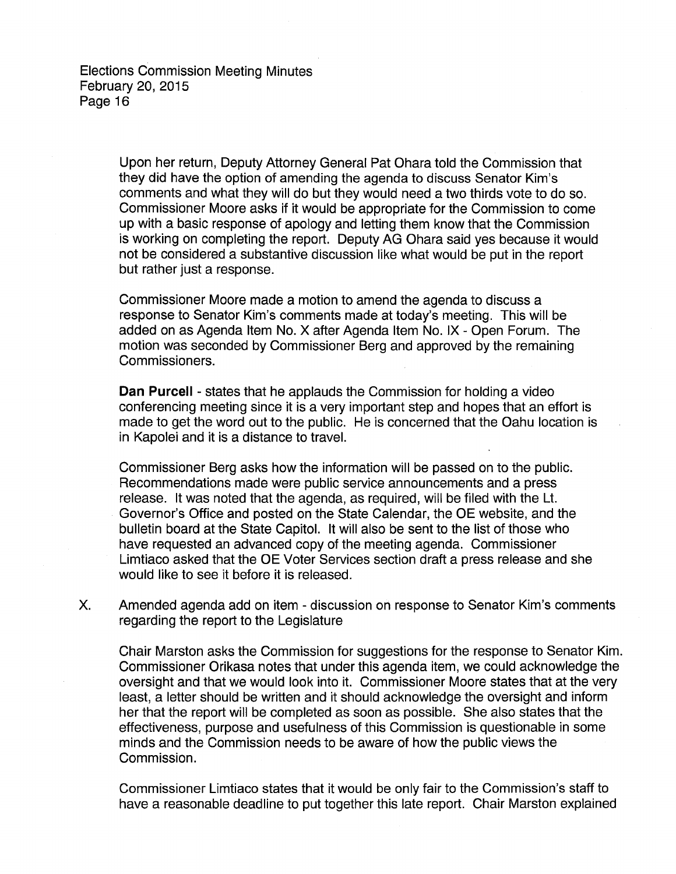> Upon her return, Deputy Attorney General Pat Ohara told the Commission that they did have the option of amending the agenda to discuss Senator Kim's comments and what they will do but they would need a two thirds vote to do so. Commissioner Moore asks if it would be appropriate for the Commission to come up with a basic response of apology and letting them know that the Commission is working on completing the report. Deputy AG Ohara said yes because it would not be considered a substantive discussion like what would be put in the report but rather just a response.

Commissioner Moore made a motion to amend the agenda to discuss a response to Senator Kim's comments made at today's meeting. This will be added on as Agenda Item No. X after Agenda Item No. IX- Open Forum. The motion was seconded by Commissioner Berg and approved by the remaining Commissioners.

**Dan Purcell** - states that he applauds the Commission for holding a video conferencing meeting since it is a very important step and hopes that an effort is made to get the word out to the public. He is concerned that the Oahu location is in Kapolei and it is a distance to travel.

Commissioner Berg asks how the information will be passed on to the public. Recommendations made were public service announcements and a press release. It was noted that the agenda, as required, will be filed with the Lt. Governor's Office and posted on the State Calendar, the OE website, and the bulletin board at the State Capitol. It will also be sent to the list of those who have requested an advanced copy of the meeting agenda. Commissioner Limtiaco asked that the OE Voter Services section draft a press release and she would like to see it before it is released.

X. Amended agenda add on item - discussion on response to Senator Kim's comments regarding the report to the Legislature

Chair Marston asks the Commission for suggestions for the response to Senator Kim. Commissioner Orikasa notes that under this agenda item, we could acknowledge the oversight and that we would look into it. Commissioner Moore states that at the very least, a letter should be written and it should acknowledge the oversight and inform her that the report will be completed as soon as possible. She also states that the effectiveness, purpose and usefulness of this Commission is questionable in some minds and the Commission needs to be aware of how the public views the Commission.

Commissioner Limtiaco states that it would be only fair to the Commission's staff to have a reasonable deadline to put together this late report. Chair Marston explained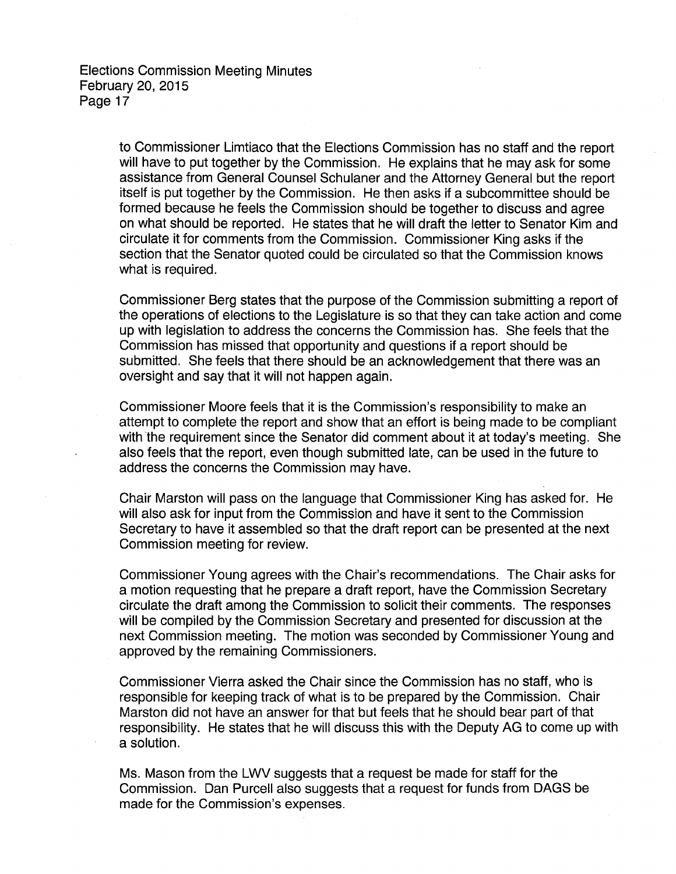to Commissioner Limtiaco that the Elections Commission has no staff and the report will have to put together by the Commission. He explains that he may ask for some assistance from General Counsel Schulaner and the Attorney General but the report itself is put together by the Commission. He then asks if a subcommittee should be formed because he feels the Commission should be together to discuss and agree on what should be reported. He states that he will draft the letter to Senator Kim and circulate it for comments from the Commission. Commissioner King asks if the section that the Senator quoted could be circulated so that the Commission knows what is required.

Commissioner Berg states that the purpose of the Commission submitting a report of the operations of elections to the Legislature is so that they can take action and come up with legislation to address the concerns the Commission has. She feels that the Commission has missed that opportunity and questions if a report should be submitted. She feels that there should be an acknowledgement that there was an oversight and say that it will not happen again.

Commissioner Moore feels that it is the Commission's responsibility to make an attempt to complete the report and show that an effort is being made to be compliant with the requirement since the Senator did comment about it at today's meeting. She also feels that the report, even though submitted late, can be used in the future to address the concerns the Commission may have.

Chair Marston will pass on the language that Commissioner King has asked for. He will also ask for input from the Commission and have it sent to the Commission Secretary to have it assembled so that the draft report can be presented at the next Commission meeting for review.

Commissioner Young agrees with the Chair's recommendations. The Chair asks for a motion requesting that he prepare a draft report, have the Commission Secretary circulate the draft among the Commission to solicit their comments. The responses will be compiled by the Commission Secretary and presented for discussion at the next Commission meeting. The motion was seconded by Commissioner Young and approved by the remaining Commissioners.

Commissioner Vierra asked the Chair since the Commission has no staff, who is responsible for keeping track of what is to be prepared by the Commission. Chair Marston did not have an answer for that but feels that he should bear part of that responsibility. He states that he will discuss this with the Deputy AG to come up with a solution.

Ms. Mason from the LWV suggests that a request be made for staff for the Commission. Dan Purcell also suggests that a request for funds from DAGS be made for the Commission's expenses.